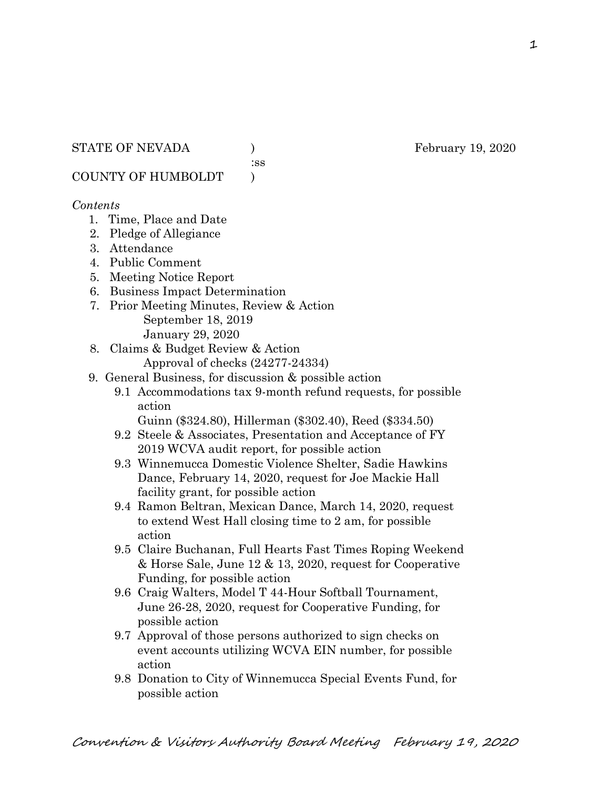:ss

COUNTY OF HUMBOLDT )

## *Contents*

- 1. Time, Place and Date
- 2. Pledge of Allegiance
- 3. Attendance
- 4. Public Comment
- 5. Meeting Notice Report
- 6. Business Impact Determination
- 7. Prior Meeting Minutes, Review & Action September 18, 2019 January 29, 2020
- 8. Claims & Budget Review & Action
	- Approval of checks (24277-24334)
- 9. General Business, for discussion & possible action
	- 9.1 Accommodations tax 9-month refund requests, for possible action
		- Guinn (\$324.80), Hillerman (\$302.40), Reed (\$334.50)
	- 9.2 Steele & Associates, Presentation and Acceptance of FY 2019 WCVA audit report, for possible action
	- 9.3 Winnemucca Domestic Violence Shelter, Sadie Hawkins Dance, February 14, 2020, request for Joe Mackie Hall facility grant, for possible action
	- 9.4 Ramon Beltran, Mexican Dance, March 14, 2020, request to extend West Hall closing time to 2 am, for possible action
	- 9.5 Claire Buchanan, Full Hearts Fast Times Roping Weekend & Horse Sale, June 12 & 13, 2020, request for Cooperative Funding, for possible action
	- 9.6 Craig Walters, Model T 44-Hour Softball Tournament, June 26-28, 2020, request for Cooperative Funding, for possible action
	- 9.7 Approval of those persons authorized to sign checks on event accounts utilizing WCVA EIN number, for possible action
	- 9.8 Donation to City of Winnemucca Special Events Fund, for possible action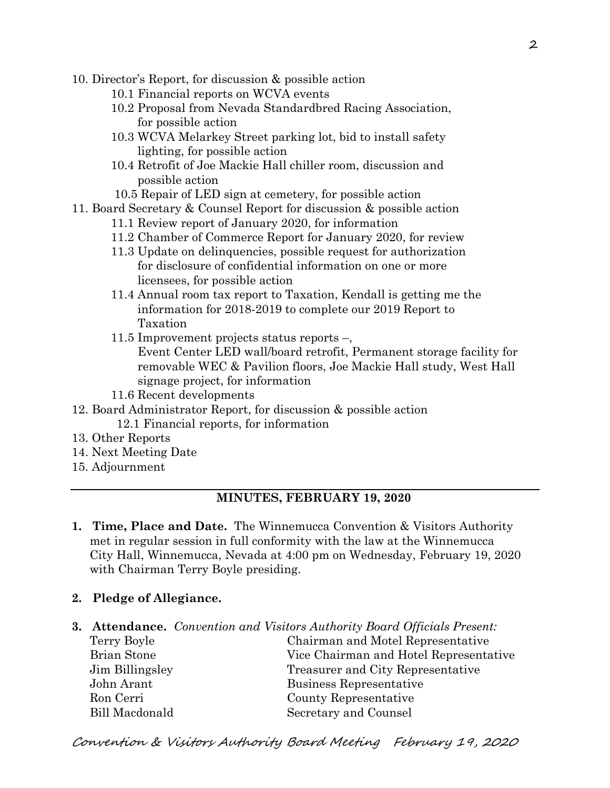- 10. Director's Report, for discussion & possible action
	- 10.1 Financial reports on WCVA events
	- 10.2 Proposal from Nevada Standardbred Racing Association, for possible action
	- 10.3 WCVA Melarkey Street parking lot, bid to install safety lighting, for possible action
	- 10.4 Retrofit of Joe Mackie Hall chiller room, discussion and possible action
	- 10.5 Repair of LED sign at cemetery, for possible action
- 11. Board Secretary & Counsel Report for discussion & possible action
	- 11.1 Review report of January 2020, for information
	- 11.2 Chamber of Commerce Report for January 2020, for review
	- 11.3 Update on delinquencies, possible request for authorization for disclosure of confidential information on one or more licensees, for possible action
	- 11.4 Annual room tax report to Taxation, Kendall is getting me the information for 2018-2019 to complete our 2019 Report to Taxation
	- 11.5 Improvement projects status reports –, Event Center LED wall/board retrofit, Permanent storage facility for removable WEC & Pavilion floors, Joe Mackie Hall study, West Hall signage project, for information
	- 11.6 Recent developments
- 12. Board Administrator Report, for discussion & possible action 12.1 Financial reports, for information
- 13. Other Reports
- 14. Next Meeting Date
- 15. Adjournment

## **MINUTES, FEBRUARY 19, 2020**

- **1. Time, Place and Date.** The Winnemucca Convention & Visitors Authority met in regular session in full conformity with the law at the Winnemucca City Hall, Winnemucca, Nevada at 4:00 pm on Wednesday, February 19, 2020 with Chairman Terry Boyle presiding.
- **2. Pledge of Allegiance.**

|                       | <b>3. Attendance.</b> Convention and Visitors Authority Board Officials Present: |
|-----------------------|----------------------------------------------------------------------------------|
| Terry Boyle           | Chairman and Motel Representative                                                |
| <b>Brian Stone</b>    | Vice Chairman and Hotel Representative                                           |
| Jim Billingsley       | Treasurer and City Representative                                                |
| John Arant            | Business Representative                                                          |
| Ron Cerri             | County Representative                                                            |
| <b>Bill Macdonald</b> | Secretary and Counsel                                                            |

Convention & Visitors Authority Board Meeting February 19, 2020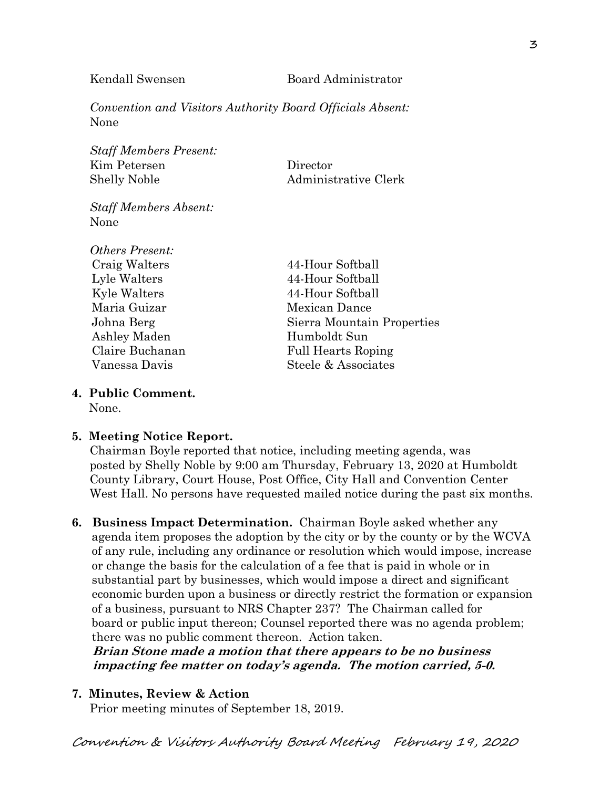*Convention and Visitors Authority Board Officials Absent:* None

*Staff Members Present:* Kim Petersen Director Shelly Noble Administrative Clerk

*Staff Members Absent:* None

*Others Present:* Craig Walters 44-Hour Softball Lyle Walters 44-Hour Softball Kyle Walters 44-Hour Softball Maria Guizar Mexican Dance Ashley Maden Humboldt Sun

Johna Berg Sierra Mountain Properties Claire Buchanan Full Hearts Roping Vanessa Davis Steele & Associates

# **4. Public Comment.**

None.

## **5. Meeting Notice Report.**

Chairman Boyle reported that notice, including meeting agenda, was posted by Shelly Noble by 9:00 am Thursday, February 13, 2020 at Humboldt County Library, Court House, Post Office, City Hall and Convention Center West Hall. No persons have requested mailed notice during the past six months.

**6. Business Impact Determination.** Chairman Boyle asked whether any agenda item proposes the adoption by the city or by the county or by the WCVA of any rule, including any ordinance or resolution which would impose, increase or change the basis for the calculation of a fee that is paid in whole or in substantial part by businesses, which would impose a direct and significant economic burden upon a business or directly restrict the formation or expansion of a business, pursuant to NRS Chapter 237? The Chairman called for board or public input thereon; Counsel reported there was no agenda problem; there was no public comment thereon. Action taken.

 **Brian Stone made a motion that there appears to be no business impacting fee matter on today's agenda. The motion carried, 5-0.**

## **7. Minutes, Review & Action**

Prior meeting minutes of September 18, 2019.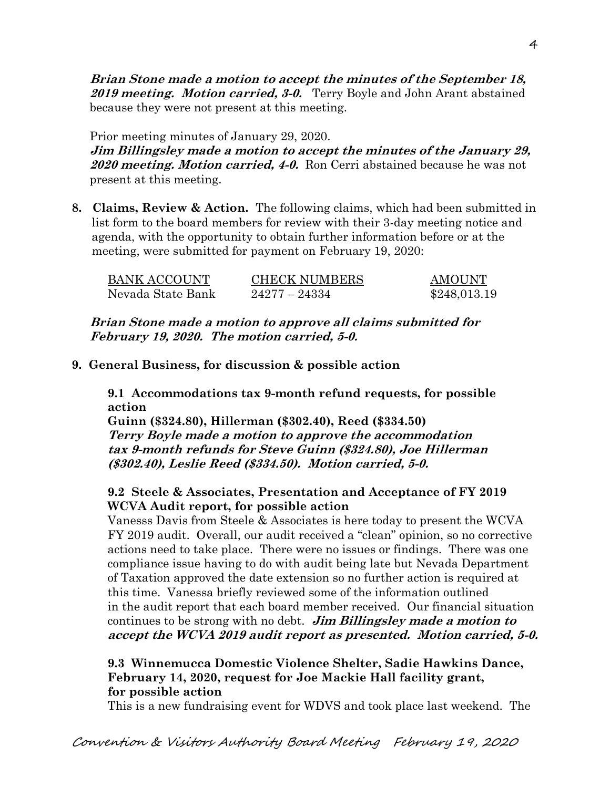**Brian Stone made a motion to accept the minutes of the September 18, 2019 meeting. Motion carried, 3-0.** Terry Boyle and John Arant abstained because they were not present at this meeting.

Prior meeting minutes of January 29, 2020. **Jim Billingsley made a motion to accept the minutes of the January 29, <sup>2020</sup> meeting. Motion carried, 4-0.** Ron Cerri abstained because he was not present at this meeting.

**8. Claims, Review & Action.** The following claims, which had been submitted in list form to the board members for review with their 3-day meeting notice and agenda, with the opportunity to obtain further information before or at the meeting, were submitted for payment on February 19, 2020:

| <b>BANK ACCOUNT</b> | <b>CHECK NUMBERS</b> | <b>AMOUNT</b> |
|---------------------|----------------------|---------------|
| Nevada State Bank   | $24277 - 24334$      | \$248,013.19  |

**Brian Stone made a motion to approve all claims submitted for February 19, 2020. The motion carried, 5-0.**

**9. General Business, for discussion & possible action**

**9.1 Accommodations tax 9-month refund requests, for possible action**

**Guinn (\$324.80), Hillerman (\$302.40), Reed (\$334.50) Terry Boyle made a motion to approve the accommodation tax 9-month refunds for Steve Guinn (\$324.80), Joe Hillerman (\$302.40), Leslie Reed (\$334.50). Motion carried, 5-0.**

## **9.2 Steele & Associates, Presentation and Acceptance of FY 2019 WCVA Audit report, for possible action**

Vanesss Davis from Steele & Associates is here today to present the WCVA FY 2019 audit. Overall, our audit received a "clean" opinion, so no corrective actions need to take place. There were no issues or findings. There was one compliance issue having to do with audit being late but Nevada Department of Taxation approved the date extension so no further action is required at this time. Vanessa briefly reviewed some of the information outlined in the audit report that each board member received. Our financial situation continues to be strong with no debt. **Jim Billingsley made a motion to accept the WCVA 2019 audit report as presented. Motion carried, 5-0.** 

## **9.3 Winnemucca Domestic Violence Shelter, Sadie Hawkins Dance, February 14, 2020, request for Joe Mackie Hall facility grant, for possible action**

This is a new fundraising event for WDVS and took place last weekend. The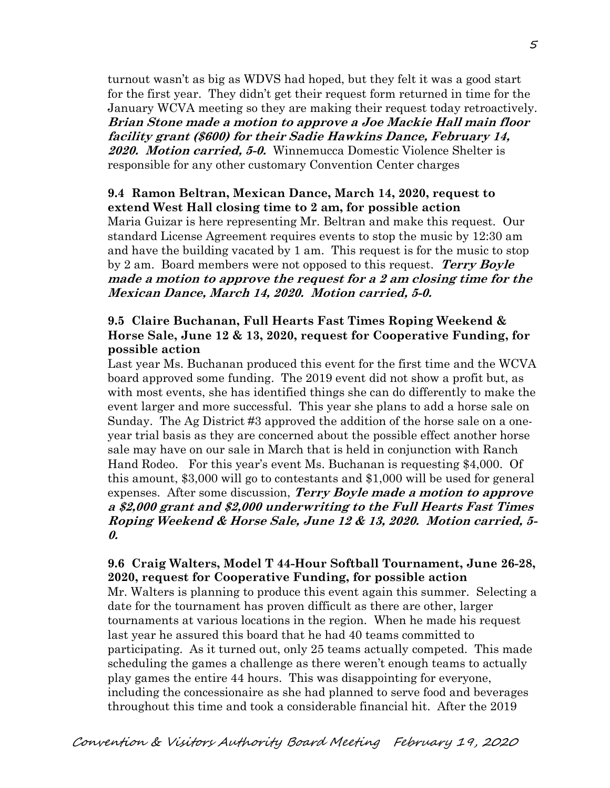turnout wasn't as big as WDVS had hoped, but they felt it was a good start for the first year. They didn't get their request form returned in time for the January WCVA meeting so they are making their request today retroactively. **Brian Stone made a motion to approve a Joe Mackie Hall main floor facility grant (\$600) for their Sadie Hawkins Dance, February 14, 2020. Motion carried, 5-0.** Winnemucca Domestic Violence Shelter is responsible for any other customary Convention Center charges

#### **9.4 Ramon Beltran, Mexican Dance, March 14, 2020, request to extend West Hall closing time to 2 am, for possible action**

Maria Guizar is here representing Mr. Beltran and make this request. Our standard License Agreement requires events to stop the music by 12:30 am and have the building vacated by 1 am. This request is for the music to stop by 2 am. Board members were not opposed to this request. **Terry Boyle made a motion to approve the request for a 2 am closing time for the Mexican Dance, March 14, 2020. Motion carried, 5-0.**

## **9.5 Claire Buchanan, Full Hearts Fast Times Roping Weekend & Horse Sale, June 12 & 13, 2020, request for Cooperative Funding, for possible action**

Last year Ms. Buchanan produced this event for the first time and the WCVA board approved some funding. The 2019 event did not show a profit but, as with most events, she has identified things she can do differently to make the event larger and more successful. This year she plans to add a horse sale on Sunday. The Ag District #3 approved the addition of the horse sale on a oneyear trial basis as they are concerned about the possible effect another horse sale may have on our sale in March that is held in conjunction with Ranch Hand Rodeo. For this year's event Ms. Buchanan is requesting \$4,000. Of this amount, \$3,000 will go to contestants and \$1,000 will be used for general expenses. After some discussion, **Terry Boyle made a motion to approve a \$2,000 grant and \$2,000 underwriting to the Full Hearts Fast Times Roping Weekend & Horse Sale, June 12 & 13, 2020. Motion carried, 5- 0.**

## **9.6 Craig Walters, Model T 44-Hour Softball Tournament, June 26-28, 2020, request for Cooperative Funding, for possible action**

Mr. Walters is planning to produce this event again this summer. Selecting a date for the tournament has proven difficult as there are other, larger tournaments at various locations in the region. When he made his request last year he assured this board that he had 40 teams committed to participating. As it turned out, only 25 teams actually competed. This made scheduling the games a challenge as there weren't enough teams to actually play games the entire 44 hours. This was disappointing for everyone, including the concessionaire as she had planned to serve food and beverages throughout this time and took a considerable financial hit. After the 2019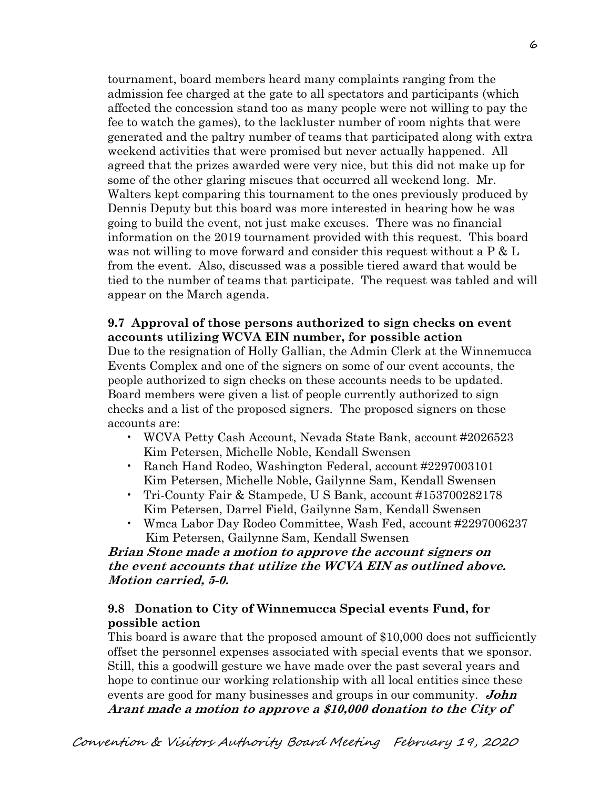tournament, board members heard many complaints ranging from the admission fee charged at the gate to all spectators and participants (which affected the concession stand too as many people were not willing to pay the fee to watch the games), to the lackluster number of room nights that were generated and the paltry number of teams that participated along with extra weekend activities that were promised but never actually happened. All agreed that the prizes awarded were very nice, but this did not make up for some of the other glaring miscues that occurred all weekend long. Mr. Walters kept comparing this tournament to the ones previously produced by Dennis Deputy but this board was more interested in hearing how he was going to build the event, not just make excuses. There was no financial information on the 2019 tournament provided with this request. This board was not willing to move forward and consider this request without a P & L from the event. Also, discussed was a possible tiered award that would be tied to the number of teams that participate. The request was tabled and will appear on the March agenda.

## **9.7 Approval of those persons authorized to sign checks on event accounts utilizing WCVA EIN number, for possible action**

Due to the resignation of Holly Gallian, the Admin Clerk at the Winnemucca Events Complex and one of the signers on some of our event accounts, the people authorized to sign checks on these accounts needs to be updated. Board members were given a list of people currently authorized to sign checks and a list of the proposed signers. The proposed signers on these accounts are:

- WCVA Petty Cash Account, Nevada State Bank, account #2026523 Kim Petersen, Michelle Noble, Kendall Swensen
- Ranch Hand Rodeo, Washington Federal, account #2297003101 Kim Petersen, Michelle Noble, Gailynne Sam, Kendall Swensen
- Tri-County Fair & Stampede, U S Bank, account #153700282178 Kim Petersen, Darrel Field, Gailynne Sam, Kendall Swensen
- Wmca Labor Day Rodeo Committee, Wash Fed, account #2297006237 Kim Petersen, Gailynne Sam, Kendall Swensen

## **Brian Stone made a motion to approve the account signers on the event accounts that utilize the WCVA EIN as outlined above. Motion carried, 5-0.**

## **9.8 Donation to City of Winnemucca Special events Fund, for possible action**

This board is aware that the proposed amount of \$10,000 does not sufficiently offset the personnel expenses associated with special events that we sponsor. Still, this a goodwill gesture we have made over the past several years and hope to continue our working relationship with all local entities since these events are good for many businesses and groups in our community. **John Arant made a motion to approve a \$10,000 donation to the City of**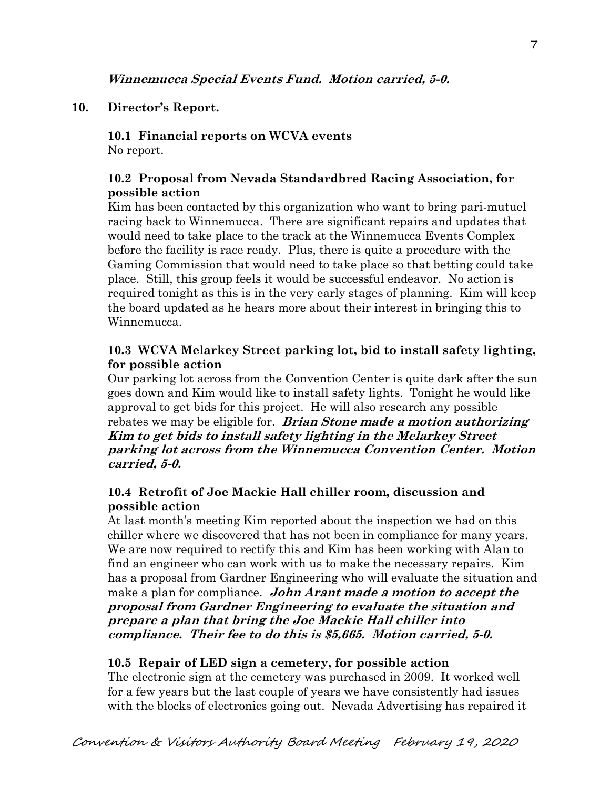## **Winnemucca Special Events Fund. Motion carried, 5-0.**

## **10. Director's Report.**

#### **10.1 Financial reports on WCVA events**  No report.

## **10.2 Proposal from Nevada Standardbred Racing Association, for possible action**

Kim has been contacted by this organization who want to bring pari-mutuel racing back to Winnemucca. There are significant repairs and updates that would need to take place to the track at the Winnemucca Events Complex before the facility is race ready. Plus, there is quite a procedure with the Gaming Commission that would need to take place so that betting could take place. Still, this group feels it would be successful endeavor. No action is required tonight as this is in the very early stages of planning. Kim will keep the board updated as he hears more about their interest in bringing this to Winnemucca.

## **10.3 WCVA Melarkey Street parking lot, bid to install safety lighting, for possible action**

Our parking lot across from the Convention Center is quite dark after the sun goes down and Kim would like to install safety lights. Tonight he would like approval to get bids for this project. He will also research any possible rebates we may be eligible for. **Brian Stone made a motion authorizing Kim to get bids to install safety lighting in the Melarkey Street parking lot across from the Winnemucca Convention Center. Motion carried, 5-0.** 

## **10.4 Retrofit of Joe Mackie Hall chiller room, discussion and possible action**

At last month's meeting Kim reported about the inspection we had on this chiller where we discovered that has not been in compliance for many years. We are now required to rectify this and Kim has been working with Alan to find an engineer who can work with us to make the necessary repairs. Kim has a proposal from Gardner Engineering who will evaluate the situation and make a plan for compliance. **John Arant made a motion to accept the proposal from Gardner Engineering to evaluate the situation and prepare a plan that bring the Joe Mackie Hall chiller into compliance. Their fee to do this is \$5,665. Motion carried, 5-0.**

## **10.5 Repair of LED sign a cemetery, for possible action**

The electronic sign at the cemetery was purchased in 2009. It worked well for a few years but the last couple of years we have consistently had issues with the blocks of electronics going out. Nevada Advertising has repaired it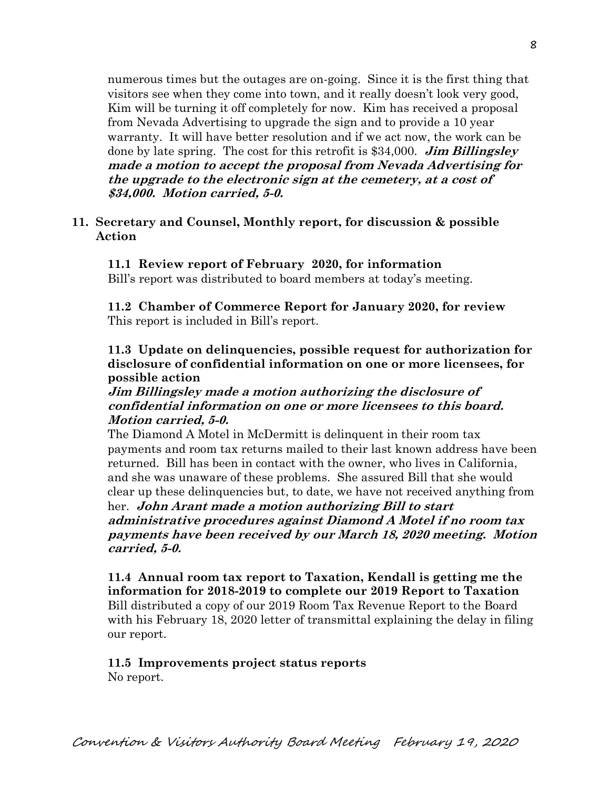numerous times but the outages are on-going. Since it is the first thing that visitors see when they come into town, and it really doesn't look very good, Kim will be turning it off completely for now. Kim has received a proposal from Nevada Advertising to upgrade the sign and to provide a 10 year warranty. It will have better resolution and if we act now, the work can be done by late spring. The cost for this retrofit is \$34,000. **Jim Billingsley made a motion to accept the proposal from Nevada Advertising for the upgrade to the electronic sign at the cemetery, at a cost of \$34,000. Motion carried, 5-0.**

#### **11. Secretary and Counsel, Monthly report, for discussion & possible Action**

#### **11.1 Review report of February 2020, for information**

Bill's report was distributed to board members at today's meeting.

**11.2 Chamber of Commerce Report for January 2020, for review** This report is included in Bill's report.

## **11.3 Update on delinquencies, possible request for authorization for disclosure of confidential information on one or more licensees, for possible action**

## **Jim Billingsley made a motion authorizing the disclosure of confidential information on one or more licensees to this board. Motion carried, 5-0.**

The Diamond A Motel in McDermitt is delinquent in their room tax payments and room tax returns mailed to their last known address have been returned. Bill has been in contact with the owner, who lives in California, and she was unaware of these problems. She assured Bill that she would clear up these delinquencies but, to date, we have not received anything from her. **John Arant made a motion authorizing Bill to start administrative procedures against Diamond A Motel if no room tax** 

**payments have been received by our March 18, 2020 meeting. Motion carried, 5-0.** 

**11.4 Annual room tax report to Taxation, Kendall is getting me the information for 2018-2019 to complete our 2019 Report to Taxation** Bill distributed a copy of our 2019 Room Tax Revenue Report to the Board with his February 18, 2020 letter of transmittal explaining the delay in filing our report.

# **11.5 Improvements project status reports**

No report.

8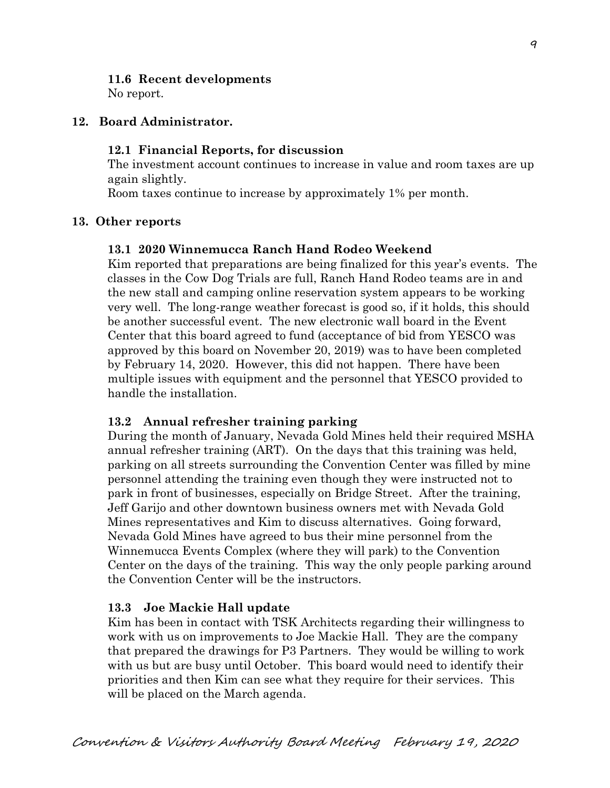## **11.6 Recent developments**

No report.

#### **12. Board Administrator.**

#### **12.1 Financial Reports, for discussion**

The investment account continues to increase in value and room taxes are up again slightly.

Room taxes continue to increase by approximately 1% per month.

#### **13. Other reports**

#### **13.1 2020 Winnemucca Ranch Hand Rodeo Weekend**

Kim reported that preparations are being finalized for this year's events. The classes in the Cow Dog Trials are full, Ranch Hand Rodeo teams are in and the new stall and camping online reservation system appears to be working very well. The long-range weather forecast is good so, if it holds, this should be another successful event. The new electronic wall board in the Event Center that this board agreed to fund (acceptance of bid from YESCO was approved by this board on November 20, 2019) was to have been completed by February 14, 2020. However, this did not happen. There have been multiple issues with equipment and the personnel that YESCO provided to handle the installation.

## **13.2 Annual refresher training parking**

During the month of January, Nevada Gold Mines held their required MSHA annual refresher training (ART). On the days that this training was held, parking on all streets surrounding the Convention Center was filled by mine personnel attending the training even though they were instructed not to park in front of businesses, especially on Bridge Street. After the training, Jeff Garijo and other downtown business owners met with Nevada Gold Mines representatives and Kim to discuss alternatives. Going forward, Nevada Gold Mines have agreed to bus their mine personnel from the Winnemucca Events Complex (where they will park) to the Convention Center on the days of the training. This way the only people parking around the Convention Center will be the instructors.

## **13.3 Joe Mackie Hall update**

Kim has been in contact with TSK Architects regarding their willingness to work with us on improvements to Joe Mackie Hall. They are the company that prepared the drawings for P3 Partners. They would be willing to work with us but are busy until October. This board would need to identify their priorities and then Kim can see what they require for their services. This will be placed on the March agenda.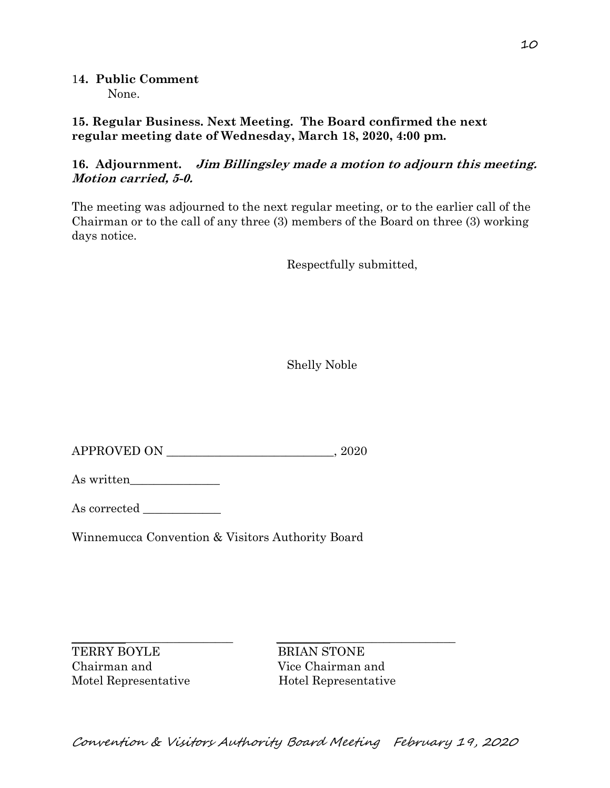1**4. Public Comment** None.

**15. Regular Business. Next Meeting. The Board confirmed the next regular meeting date of Wednesday, March 18, 2020, 4:00 pm.** 

## **16. Adjournment. Jim Billingsley made a motion to adjourn this meeting. Motion carried, 5-0.**

The meeting was adjourned to the next regular meeting, or to the earlier call of the Chairman or to the call of any three (3) members of the Board on three (3) working days notice.

Respectfully submitted,

Shelly Noble

APPROVED ON \_\_\_\_\_\_\_\_\_\_\_\_\_\_\_\_\_\_\_\_\_\_\_\_\_\_\_\_, 2020

As written\_\_\_\_\_\_\_\_\_\_\_\_\_\_\_

As corrected

Winnemucca Convention & Visitors Authority Board

 $\_$  , and the set of the set of the set of the set of the set of the set of the set of the set of the set of the set of the set of the set of the set of the set of the set of the set of the set of the set of the set of th TERRY BOYLE BRIAN STONE Chairman and Vice Chairman and

Motel Representative Hotel Representative